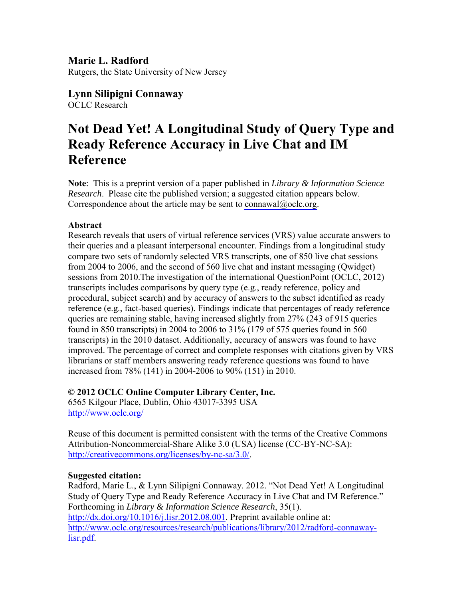# **Marie L. Radford**

Rutgers, the State University of New Jersey

#### **Lynn Silipigni Connaway** OCLC Research

# **Not Dead Yet! A Longitudinal Study of Query Type and Ready Reference Accuracy in Live Chat and IM Reference**

**Note**: This is a preprint version of a paper published in *Library & Information Science Research*. Please cite the published version; a suggested citation appears below. Correspondence about the article may be sent to connawal $@o$ clc.org.

## **Abstract**

Research reveals that users of virtual reference services (VRS) value accurate answers to their queries and a pleasant interpersonal encounter. Findings from a longitudinal study compare two sets of randomly selected VRS transcripts, one of 850 live chat sessions from 2004 to 2006, and the second of 560 live chat and instant messaging (Qwidget) sessions from 2010.The investigation of the international QuestionPoint (OCLC, 2012) transcripts includes comparisons by query type (e.g., ready reference, policy and procedural, subject search) and by accuracy of answers to the subset identified as ready reference (e.g., fact-based queries). Findings indicate that percentages of ready reference queries are remaining stable, having increased slightly from 27% (243 of 915 queries found in 850 transcripts) in 2004 to 2006 to 31% (179 of 575 queries found in 560 transcripts) in the 2010 dataset. Additionally, accuracy of answers was found to have improved. The percentage of correct and complete responses with citations given by VRS librarians or staff members answering ready reference questions was found to have increased from 78% (141) in 2004-2006 to 90% (151) in 2010.

## **© 2012 OCLC Online Computer Library Center, Inc.**

6565 Kilgour Place, Dublin, Ohio 43017-3395 USA <http://www.oclc.org/>

Reuse of this document is permitted consistent with the terms of the Creative Commons Attribution-Noncommercial-Share Alike 3.0 (USA) license (CC-BY-NC-SA): [http://creativecommons.org/licenses/by-nc-sa/3.0/.](http://creativecommons.org/licenses/by-nc-sa/3.0/)

## **Suggested citation:**

Radford, Marie L., & Lynn Silipigni Connaway. 2012. "Not Dead Yet! A Longitudinal Study of Query Type and Ready Reference Accuracy in Live Chat and IM Reference." Forthcoming in *Library & Information Science Research*, 35(1). [http://dx.doi.org/10.1016/j.lisr.2012.08.001.](http://dx.doi.org/10.1016/j.lisr.2012.08.001) Preprint available online at: [http://www.oclc.org/resources/research/publications/library/2012/radford-connaway](http://www.oclc.org/resources/research/publications/library/2012/radford-connaway-lisr.pdf)[lisr.pdf.](http://www.oclc.org/resources/research/publications/library/2012/radford-connaway-lisr.pdf)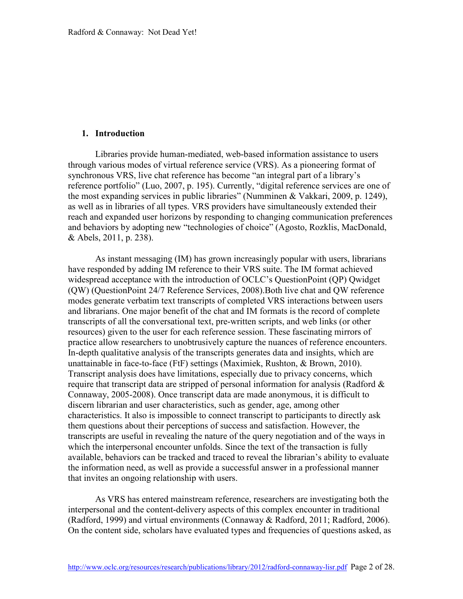#### **1. Introduction**

 Libraries provide human-mediated, web-based information assistance to users through various modes of virtual reference service (VRS). As a pioneering format of synchronous VRS, live chat reference has become "an integral part of a library's reference portfolio" (Luo, 2007, p. 195). Currently, "digital reference services are one of the most expanding services in public libraries" (Numminen & Vakkari, 2009, p. 1249), as well as in libraries of all types. VRS providers have simultaneously extended their reach and expanded user horizons by responding to changing communication preferences and behaviors by adopting new "technologies of choice" (Agosto, Rozklis, MacDonald, & Abels, 2011, p. 238).

As instant messaging (IM) has grown increasingly popular with users, librarians have responded by adding IM reference to their VRS suite. The IM format achieved widespread acceptance with the introduction of OCLC's QuestionPoint (QP) Qwidget (QW) (QuestionPoint 24/7 Reference Services, 2008).Both live chat and QW reference modes generate verbatim text transcripts of completed VRS interactions between users and librarians. One major benefit of the chat and IM formats is the record of complete transcripts of all the conversational text, pre-written scripts, and web links (or other resources) given to the user for each reference session. These fascinating mirrors of practice allow researchers to unobtrusively capture the nuances of reference encounters. In-depth qualitative analysis of the transcripts generates data and insights, which are unattainable in face-to-face (FtF) settings (Maximiek, Rushton, & Brown, 2010). Transcript analysis does have limitations, especially due to privacy concerns, which require that transcript data are stripped of personal information for analysis (Radford  $\&$ Connaway, 2005-2008). Once transcript data are made anonymous, it is difficult to discern librarian and user characteristics, such as gender, age, among other characteristics. It also is impossible to connect transcript to participants to directly ask them questions about their perceptions of success and satisfaction. However, the transcripts are useful in revealing the nature of the query negotiation and of the ways in which the interpersonal encounter unfolds. Since the text of the transaction is fully available, behaviors can be tracked and traced to reveal the librarian's ability to evaluate the information need, as well as provide a successful answer in a professional manner that invites an ongoing relationship with users.

As VRS has entered mainstream reference, researchers are investigating both the interpersonal and the content-delivery aspects of this complex encounter in traditional (Radford, 1999) and virtual environments (Connaway & Radford, 2011; Radford, 2006). On the content side, scholars have evaluated types and frequencies of questions asked, as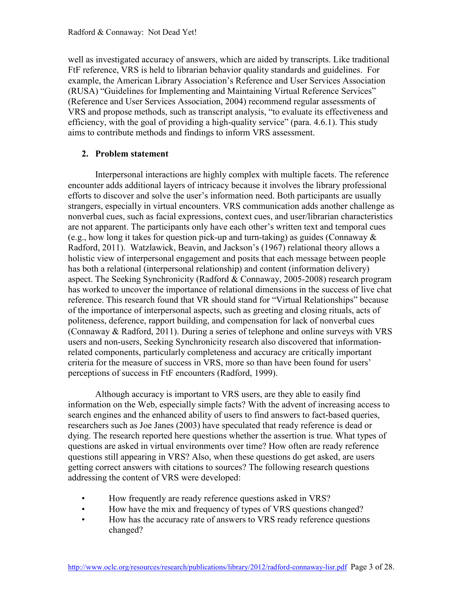well as investigated accuracy of answers, which are aided by transcripts. Like traditional FtF reference, VRS is held to librarian behavior quality standards and guidelines. For example, the American Library Association's Reference and User Services Association (RUSA) "Guidelines for Implementing and Maintaining Virtual Reference Services" (Reference and User Services Association, 2004) recommend regular assessments of VRS and propose methods, such as transcript analysis, "to evaluate its effectiveness and efficiency, with the goal of providing a high-quality service" (para. 4.6.1). This study aims to contribute methods and findings to inform VRS assessment.

#### **2. Problem statement**

Interpersonal interactions are highly complex with multiple facets. The reference encounter adds additional layers of intricacy because it involves the library professional efforts to discover and solve the user's information need. Both participants are usually strangers, especially in virtual encounters. VRS communication adds another challenge as nonverbal cues, such as facial expressions, context cues, and user/librarian characteristics are not apparent. The participants only have each other's written text and temporal cues (e.g., how long it takes for question pick-up and turn-taking) as guides (Connaway & Radford, 2011). Watzlawick, Beavin, and Jackson's (1967) relational theory allows a holistic view of interpersonal engagement and posits that each message between people has both a relational (interpersonal relationship) and content (information delivery) aspect. The Seeking Synchronicity (Radford & Connaway, 2005-2008) research program has worked to uncover the importance of relational dimensions in the success of live chat reference. This research found that VR should stand for "Virtual Relationships" because of the importance of interpersonal aspects, such as greeting and closing rituals, acts of politeness, deference, rapport building, and compensation for lack of nonverbal cues (Connaway & Radford, 2011). During a series of telephone and online surveys with VRS users and non-users, Seeking Synchronicity research also discovered that informationrelated components, particularly completeness and accuracy are critically important criteria for the measure of success in VRS, more so than have been found for users' perceptions of success in FtF encounters (Radford, 1999).

 Although accuracy is important to VRS users, are they able to easily find information on the Web, especially simple facts? With the advent of increasing access to search engines and the enhanced ability of users to find answers to fact-based queries, researchers such as Joe Janes (2003) have speculated that ready reference is dead or dying. The research reported here questions whether the assertion is true. What types of questions are asked in virtual environments over time? How often are ready reference questions still appearing in VRS? Also, when these questions do get asked, are users getting correct answers with citations to sources? The following research questions addressing the content of VRS were developed:

- How frequently are ready reference questions asked in VRS?
- How have the mix and frequency of types of VRS questions changed?
- How has the accuracy rate of answers to VRS ready reference questions changed?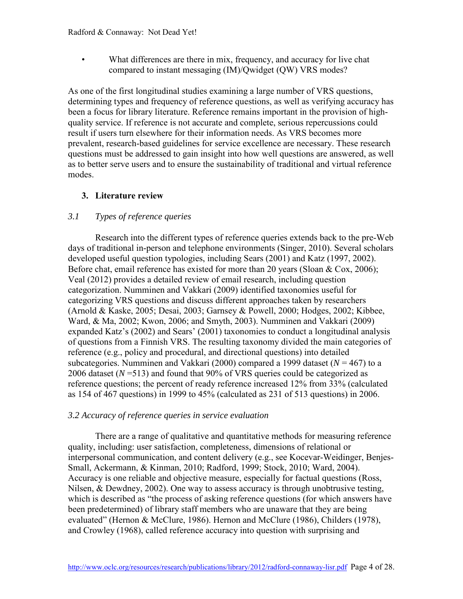• What differences are there in mix, frequency, and accuracy for live chat compared to instant messaging (IM)/Qwidget (QW) VRS modes?

As one of the first longitudinal studies examining a large number of VRS questions, determining types and frequency of reference questions, as well as verifying accuracy has been a focus for library literature. Reference remains important in the provision of highquality service. If reference is not accurate and complete, serious repercussions could result if users turn elsewhere for their information needs. As VRS becomes more prevalent, research-based guidelines for service excellence are necessary. These research questions must be addressed to gain insight into how well questions are answered, as well as to better serve users and to ensure the sustainability of traditional and virtual reference modes.

## **3. Literature review**

## *3.1 Types of reference queries*

Research into the different types of reference queries extends back to the pre-Web days of traditional in-person and telephone environments (Singer, 2010). Several scholars developed useful question typologies, including Sears (2001) and Katz (1997, 2002). Before chat, email reference has existed for more than 20 years (Sloan & Cox, 2006); Veal (2012) provides a detailed review of email research, including question categorization. Numminen and Vakkari (2009) identified taxonomies useful for categorizing VRS questions and discuss different approaches taken by researchers (Arnold & Kaske, 2005; Desai, 2003; Garnsey & Powell, 2000; Hodges, 2002; Kibbee, Ward, & Ma, 2002; Kwon, 2006; and Smyth, 2003). Numminen and Vakkari (2009) expanded Katz's (2002) and Sears' (2001) taxonomies to conduct a longitudinal analysis of questions from a Finnish VRS. The resulting taxonomy divided the main categories of reference (e.g., policy and procedural, and directional questions) into detailed subcategories. Numminen and Vakkari (2000) compared a 1999 dataset  $(N = 467)$  to a 2006 dataset (*N* =513) and found that 90% of VRS queries could be categorized as reference questions; the percent of ready reference increased 12% from 33% (calculated as 154 of 467 questions) in 1999 to 45% (calculated as 231 of 513 questions) in 2006.

## *3.2 Accuracy of reference queries in service evaluation*

There are a range of qualitative and quantitative methods for measuring reference quality, including: user satisfaction, completeness, dimensions of relational or interpersonal communication, and content delivery (e.g., see Kocevar-Weidinger, Benjes-Small, Ackermann, & Kinman, 2010; Radford, 1999; Stock, 2010; Ward, 2004). Accuracy is one reliable and objective measure, especially for factual questions (Ross, Nilsen, & Dewdney, 2002). One way to assess accuracy is through unobtrusive testing, which is described as "the process of asking reference questions (for which answers have been predetermined) of library staff members who are unaware that they are being evaluated" (Hernon & McClure, 1986). Hernon and McClure (1986), Childers (1978), and Crowley (1968), called reference accuracy into question with surprising and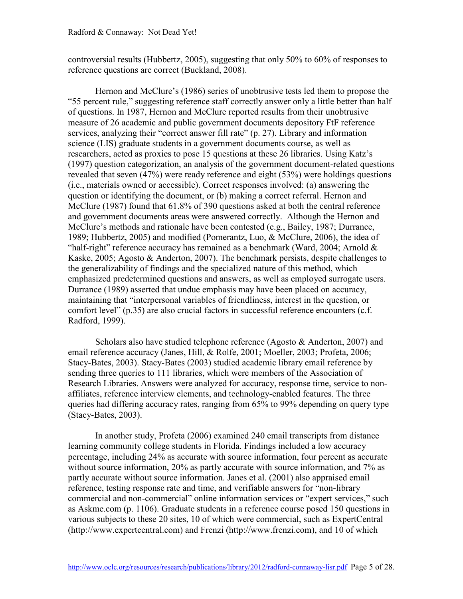controversial results (Hubbertz, 2005), suggesting that only 50% to 60% of responses to reference questions are correct (Buckland, 2008).

 Hernon and McClure's (1986) series of unobtrusive tests led them to propose the "55 percent rule," suggesting reference staff correctly answer only a little better than half of questions. In 1987, Hernon and McClure reported results from their unobtrusive measure of 26 academic and public government documents depository FtF reference services, analyzing their "correct answer fill rate" (p. 27). Library and information science (LIS) graduate students in a government documents course, as well as researchers, acted as proxies to pose 15 questions at these 26 libraries. Using Katz's (1997) question categorization, an analysis of the government document-related questions revealed that seven (47%) were ready reference and eight (53%) were holdings questions (i.e., materials owned or accessible). Correct responses involved: (a) answering the question or identifying the document, or (b) making a correct referral. Hernon and McClure (1987) found that 61.8% of 390 questions asked at both the central reference and government documents areas were answered correctly. Although the Hernon and McClure's methods and rationale have been contested (e.g., Bailey, 1987; Durrance, 1989; Hubbertz, 2005) and modified (Pomerantz, Luo, & McClure, 2006), the idea of "half-right" reference accuracy has remained as a benchmark (Ward, 2004; Arnold  $\&$ Kaske, 2005; Agosto & Anderton, 2007). The benchmark persists, despite challenges to the generalizability of findings and the specialized nature of this method, which emphasized predetermined questions and answers, as well as employed surrogate users. Durrance (1989) asserted that undue emphasis may have been placed on accuracy, maintaining that "interpersonal variables of friendliness, interest in the question, or comfort level" (p.35) are also crucial factors in successful reference encounters (c.f. Radford, 1999).

Scholars also have studied telephone reference (Agosto & Anderton, 2007) and email reference accuracy (Janes, Hill, & Rolfe, 2001; Moeller, 2003; Profeta, 2006; Stacy-Bates, 2003). Stacy-Bates (2003) studied academic library email reference by sending three queries to 111 libraries, which were members of the Association of Research Libraries. Answers were analyzed for accuracy, response time, service to nonaffiliates, reference interview elements, and technology-enabled features. The three queries had differing accuracy rates, ranging from 65% to 99% depending on query type (Stacy-Bates, 2003).

 In another study, Profeta (2006) examined 240 email transcripts from distance learning community college students in Florida. Findings included a low accuracy percentage, including 24% as accurate with source information, four percent as accurate without source information, 20% as partly accurate with source information, and 7% as partly accurate without source information. Janes et al. (2001) also appraised email reference, testing response rate and time, and verifiable answers for "non-library commercial and non-commercial" online information services or "expert services," such as Askme.com (p. 1106). Graduate students in a reference course posed 150 questions in various subjects to these 20 sites, 10 of which were commercial, such as ExpertCentral (http://www.expertcentral.com) and Frenzi (http://www.frenzi.com), and 10 of which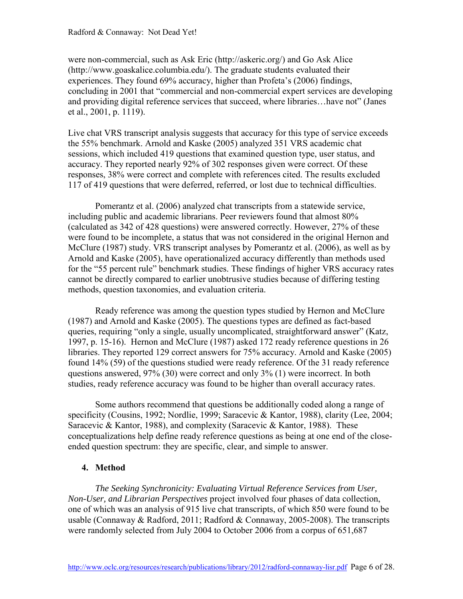were non-commercial, such as Ask Eric (http://askeric.org/) and Go Ask Alice (http://www.goaskalice.columbia.edu/). The graduate students evaluated their experiences. They found 69% accuracy, higher than Profeta's (2006) findings, concluding in 2001 that "commercial and non-commercial expert services are developing and providing digital reference services that succeed, where libraries…have not" (Janes et al., 2001, p. 1119).

Live chat VRS transcript analysis suggests that accuracy for this type of service exceeds the 55% benchmark. Arnold and Kaske (2005) analyzed 351 VRS academic chat sessions, which included 419 questions that examined question type, user status, and accuracy. They reported nearly 92% of 302 responses given were correct. Of these responses, 38% were correct and complete with references cited. The results excluded 117 of 419 questions that were deferred, referred, or lost due to technical difficulties.

Pomerantz et al. (2006) analyzed chat transcripts from a statewide service, including public and academic librarians. Peer reviewers found that almost 80% (calculated as 342 of 428 questions) were answered correctly. However, 27% of these were found to be incomplete, a status that was not considered in the original Hernon and McClure (1987) study. VRS transcript analyses by Pomerantz et al. (2006), as well as by Arnold and Kaske (2005), have operationalized accuracy differently than methods used for the "55 percent rule" benchmark studies. These findings of higher VRS accuracy rates cannot be directly compared to earlier unobtrusive studies because of differing testing methods, question taxonomies, and evaluation criteria.

 Ready reference was among the question types studied by Hernon and McClure (1987) and Arnold and Kaske (2005). The questions types are defined as fact-based queries, requiring "only a single, usually uncomplicated, straightforward answer" (Katz, 1997, p. 15-16). Hernon and McClure (1987) asked 172 ready reference questions in 26 libraries. They reported 129 correct answers for 75% accuracy. Arnold and Kaske (2005) found 14% (59) of the questions studied were ready reference. Of the 31 ready reference questions answered, 97% (30) were correct and only 3% (1) were incorrect. In both studies, ready reference accuracy was found to be higher than overall accuracy rates.

 Some authors recommend that questions be additionally coded along a range of specificity (Cousins, 1992; Nordlie, 1999; Saracevic & Kantor, 1988), clarity (Lee, 2004; Saracevic & Kantor, 1988), and complexity (Saracevic & Kantor, 1988). These conceptualizations help define ready reference questions as being at one end of the closeended question spectrum: they are specific, clear, and simple to answer.

## **4. Method**

*The Seeking Synchronicity: Evaluating Virtual Reference Services from User, Non-User, and Librarian Perspectives* project involved four phases of data collection, one of which was an analysis of 915 live chat transcripts, of which 850 were found to be usable (Connaway & Radford, 2011; Radford & Connaway, 2005-2008). The transcripts were randomly selected from July 2004 to October 2006 from a corpus of 651,687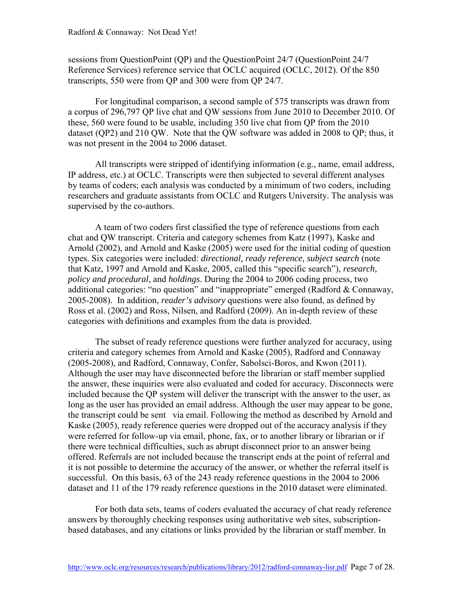sessions from QuestionPoint (QP) and the QuestionPoint 24/7 (QuestionPoint 24/7 Reference Services) reference service that OCLC acquired (OCLC, 2012). Of the 850 transcripts, 550 were from QP and 300 were from QP 24/7.

 For longitudinal comparison, a second sample of 575 transcripts was drawn from a corpus of 296,797 QP live chat and QW sessions from June 2010 to December 2010. Of these, 560 were found to be usable, including 350 live chat from QP from the 2010 dataset (QP2) and 210 QW. Note that the QW software was added in 2008 to QP; thus, it was not present in the 2004 to 2006 dataset.

 All transcripts were stripped of identifying information (e.g., name, email address, IP address, etc.) at OCLC. Transcripts were then subjected to several different analyses by teams of coders; each analysis was conducted by a minimum of two coders, including researchers and graduate assistants from OCLC and Rutgers University. The analysis was supervised by the co-authors.

A team of two coders first classified the type of reference questions from each chat and QW transcript. Criteria and category schemes from Katz (1997), Kaske and Arnold (2002), and Arnold and Kaske (2005) were used for the initial coding of question types. Six categories were included: *directional, ready reference, subject search* (note that Katz, 1997 and Arnold and Kaske, 2005, called this "specific search"), *research, policy and procedural*, and *holdings*. During the 2004 to 2006 coding process, two additional categories: "no question" and "inappropriate" emerged (Radford & Connaway, 2005-2008). In addition, *reader's advisory* questions were also found, as defined by Ross et al. (2002) and Ross, Nilsen, and Radford (2009). An in-depth review of these categories with definitions and examples from the data is provided.

The subset of ready reference questions were further analyzed for accuracy, using criteria and category schemes from Arnold and Kaske (2005), Radford and Connaway (2005-2008), and Radford, Connaway, Confer, Sabolsci-Boros, and Kwon (2011). Although the user may have disconnected before the librarian or staff member supplied the answer, these inquiries were also evaluated and coded for accuracy. Disconnects were included because the QP system will deliver the transcript with the answer to the user, as long as the user has provided an email address. Although the user may appear to be gone, the transcript could be sent via email. Following the method as described by Arnold and Kaske (2005), ready reference queries were dropped out of the accuracy analysis if they were referred for follow-up via email, phone, fax, or to another library or librarian or if there were technical difficulties, such as abrupt disconnect prior to an answer being offered. Referrals are not included because the transcript ends at the point of referral and it is not possible to determine the accuracy of the answer, or whether the referral itself is successful. On this basis, 63 of the 243 ready reference questions in the 2004 to 2006 dataset and 11 of the 179 ready reference questions in the 2010 dataset were eliminated.

 For both data sets, teams of coders evaluated the accuracy of chat ready reference answers by thoroughly checking responses using authoritative web sites, subscriptionbased databases, and any citations or links provided by the librarian or staff member. In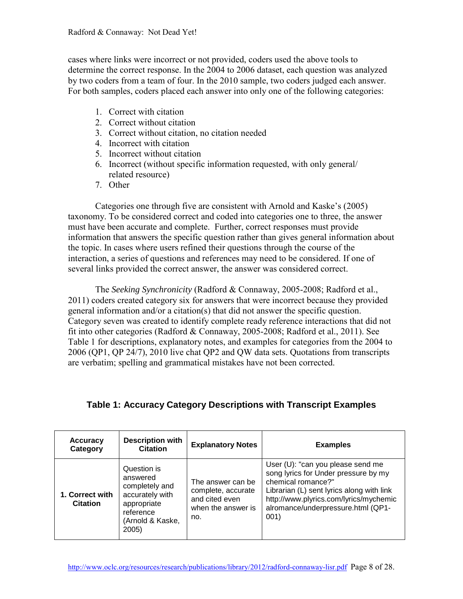cases where links were incorrect or not provided, coders used the above tools to determine the correct response. In the 2004 to 2006 dataset, each question was analyzed by two coders from a team of four. In the 2010 sample, two coders judged each answer. For both samples, coders placed each answer into only one of the following categories:

- 1. Correct with citation
- 2. Correct without citation
- 3. Correct without citation, no citation needed
- 4. Incorrect with citation
- 5. Incorrect without citation
- 6. Incorrect (without specific information requested, with only general/ related resource)
- 7. Other

Categories one through five are consistent with Arnold and Kaske's (2005) taxonomy. To be considered correct and coded into categories one to three, the answer must have been accurate and complete. Further, correct responses must provide information that answers the specific question rather than gives general information about the topic. In cases where users refined their questions through the course of the interaction, a series of questions and references may need to be considered. If one of several links provided the correct answer, the answer was considered correct.

The *Seeking Synchronicity* (Radford & Connaway, 2005-2008; Radford et al., 2011) coders created category six for answers that were incorrect because they provided general information and/or a citation(s) that did not answer the specific question. Category seven was created to identify complete ready reference interactions that did not fit into other categories (Radford & Connaway, 2005-2008; Radford et al., 2011). See Table 1 for descriptions, explanatory notes, and examples for categories from the 2004 to 2006 (QP1, QP 24/7), 2010 live chat QP2 and QW data sets. Quotations from transcripts are verbatim; spelling and grammatical mistakes have not been corrected.

| <b>Accuracy</b><br>Category        | <b>Description with</b><br><b>Citation</b>                                                                            | <b>Explanatory Notes</b>                                                               | <b>Examples</b>                                                                                                                                                                                                                      |
|------------------------------------|-----------------------------------------------------------------------------------------------------------------------|----------------------------------------------------------------------------------------|--------------------------------------------------------------------------------------------------------------------------------------------------------------------------------------------------------------------------------------|
| 1. Correct with<br><b>Citation</b> | Question is<br>answered<br>completely and<br>accurately with<br>appropriate<br>reference<br>(Arnold & Kaske,<br>2005) | The answer can be<br>complete, accurate<br>and cited even<br>when the answer is<br>no. | User (U): "can you please send me<br>song lyrics for Under pressure by my<br>chemical romance?"<br>Librarian (L) sent lyrics along with link<br>http://www.plyrics.com/lyrics/mychemic<br>alromance/underpressure.html (QP1-<br>001) |

# **Table 1: Accuracy Category Descriptions with Transcript Examples**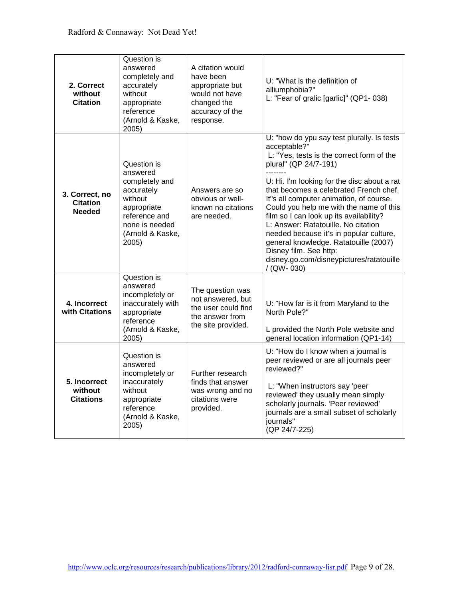| 2. Correct<br>without<br><b>Citation</b>           | Question is<br>answered<br>completely and<br>accurately<br>without<br>appropriate<br>reference<br>(Arnold & Kaske,<br>2005)                       | A citation would<br>have been<br>appropriate but<br>would not have<br>changed the<br>accuracy of the<br>response. | U: "What is the definition of<br>alliumphobia?"<br>L: "Fear of gralic [garlic]" (QP1- 038)                                                                                                                                                                                                                                                                                                                                                                                                                                                                                              |
|----------------------------------------------------|---------------------------------------------------------------------------------------------------------------------------------------------------|-------------------------------------------------------------------------------------------------------------------|-----------------------------------------------------------------------------------------------------------------------------------------------------------------------------------------------------------------------------------------------------------------------------------------------------------------------------------------------------------------------------------------------------------------------------------------------------------------------------------------------------------------------------------------------------------------------------------------|
| 3. Correct, no<br><b>Citation</b><br><b>Needed</b> | Question is<br>answered<br>completely and<br>accurately<br>without<br>appropriate<br>reference and<br>none is needed<br>(Arnold & Kaske,<br>2005) | Answers are so<br>obvious or well-<br>known no citations<br>are needed.                                           | U: "how do ypu say test plurally. Is tests<br>acceptable?"<br>L: "Yes, tests is the correct form of the<br>plural" (QP 24/7-191)<br>--------<br>U: Hi. I'm looking for the disc about a rat<br>that becomes a celebrated French chef.<br>It"s all computer animation, of course.<br>Could you help me with the name of this<br>film so I can look up its availability?<br>L: Answer: Ratatouille. No citation<br>needed because it's in popular culture,<br>general knowledge. Ratatouille (2007)<br>Disney film. See http:<br>disney.go.com/disneypictures/ratatouille<br>$/$ (QW-030) |
| 4. Incorrect<br>with Citations                     | Question is<br>answered<br>incompletely or<br>inaccurately with<br>appropriate<br>reference<br>(Arnold & Kaske,<br>2005)                          | The question was<br>not answered, but<br>the user could find<br>the answer from<br>the site provided.             | U: "How far is it from Maryland to the<br>North Pole?"<br>L provided the North Pole website and<br>general location information (QP1-14)                                                                                                                                                                                                                                                                                                                                                                                                                                                |
| 5. Incorrect<br>without<br><b>Citations</b>        | Question is<br>answered<br>incompletely or<br>inaccurately<br>without<br>appropriate<br>reference<br>(Arnold & Kaske,<br>2005)                    | Further research<br>finds that answer<br>was wrong and no<br>citations were<br>provided.                          | U: "How do I know when a journal is<br>peer reviewed or are all journals peer<br>reviewed?"<br>L: "When instructors say 'peer<br>reviewed' they usually mean simply<br>scholarly journals. 'Peer reviewed'<br>journals are a small subset of scholarly<br>journals"<br>(QP 24/7-225)                                                                                                                                                                                                                                                                                                    |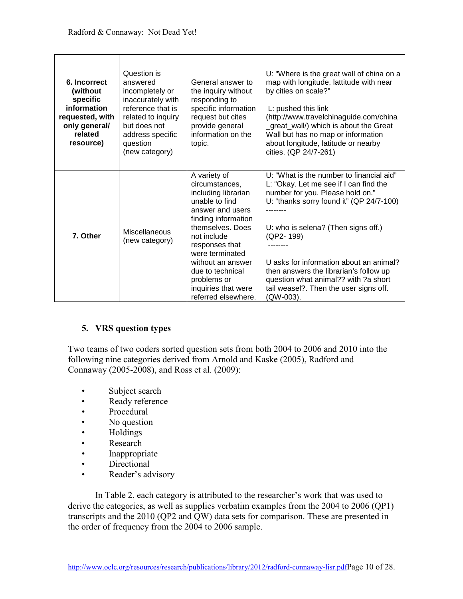| 6. Incorrect<br>(without<br>specific<br>information<br>requested, with<br>only general/<br>related<br>resource) | Question is<br>answered<br>incompletely or<br>inaccurately with<br>reference that is<br>related to inquiry<br>but does not<br>address specific<br>question<br>(new category) | General answer to<br>the inquiry without<br>responding to<br>specific information<br>request but cites<br>provide general<br>information on the<br>topic.                                                                                                                                        | U: "Where is the great wall of china on a<br>map with longitude, lattitude with near<br>by cities on scale?"<br>L: pushed this link<br>(http://www.travelchinaguide.com/china<br>great_wall/) which is about the Great<br>Wall but has no map or information<br>about longitude, latitude or nearby<br>cities. (QP 24/7-261)                                                                               |
|-----------------------------------------------------------------------------------------------------------------|------------------------------------------------------------------------------------------------------------------------------------------------------------------------------|--------------------------------------------------------------------------------------------------------------------------------------------------------------------------------------------------------------------------------------------------------------------------------------------------|------------------------------------------------------------------------------------------------------------------------------------------------------------------------------------------------------------------------------------------------------------------------------------------------------------------------------------------------------------------------------------------------------------|
| 7. Other                                                                                                        | Miscellaneous<br>(new category)                                                                                                                                              | A variety of<br>circumstances,<br>including librarian<br>unable to find<br>answer and users<br>finding information<br>themselves. Does<br>not include<br>responses that<br>were terminated<br>without an answer<br>due to technical<br>problems or<br>inquiries that were<br>referred elsewhere. | U: "What is the number to financial aid"<br>L: "Okay. Let me see if I can find the<br>number for you. Please hold on."<br>U: "thanks sorry found it" (QP 24/7-100)<br>U: who is selena? (Then signs off.)<br>(QP2-199)<br>U asks for information about an animal?<br>then answers the librarian's follow up<br>question what animal?? with ?a short<br>tail weasel?. Then the user signs off.<br>(QW-003). |

## **5. VRS question types**

Two teams of two coders sorted question sets from both 2004 to 2006 and 2010 into the following nine categories derived from Arnold and Kaske (2005), Radford and Connaway (2005-2008), and Ross et al. (2009):

- Subject search
- Ready reference
- Procedural
- No question
- Holdings
- Research
- Inappropriate
- Directional
- Reader's advisory

In Table 2, each category is attributed to the researcher's work that was used to derive the categories, as well as supplies verbatim examples from the 2004 to 2006 (QP1) transcripts and the 2010 (QP2 and QW) data sets for comparison. These are presented in the order of frequency from the 2004 to 2006 sample.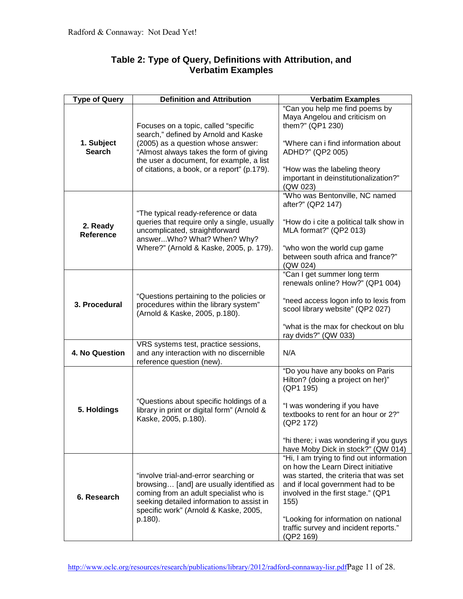| <b>Type of Query</b>         | <b>Definition and Attribution</b>                                                                                                                                                                                                                        | <b>Verbatim Examples</b>                                                                                                                                                                                                                                                                                  |
|------------------------------|----------------------------------------------------------------------------------------------------------------------------------------------------------------------------------------------------------------------------------------------------------|-----------------------------------------------------------------------------------------------------------------------------------------------------------------------------------------------------------------------------------------------------------------------------------------------------------|
| 1. Subject<br><b>Search</b>  | Focuses on a topic, called "specific<br>search," defined by Arnold and Kaske<br>(2005) as a question whose answer:<br>"Almost always takes the form of giving<br>the user a document, for example, a list<br>of citations, a book, or a report" (p.179). | "Can you help me find poems by<br>Maya Angelou and criticism on<br>them?" (QP1 230)<br>"Where can i find information about<br>ADHD?" (QP2 005)<br>"How was the labeling theory<br>important in deinstitutionalization?"<br>(QW 023)                                                                       |
| 2. Ready<br><b>Reference</b> | "The typical ready-reference or data<br>queries that require only a single, usually<br>uncomplicated, straightforward<br>answerWho? What? When? Why?<br>Where?" (Arnold & Kaske, 2005, p. 179).                                                          | "Who was Bentonville, NC named<br>after?" (QP2 147)<br>"How do i cite a political talk show in<br>MLA format?" (QP2 013)<br>"who won the world cup game<br>between south africa and france?"<br>(QW 024)                                                                                                  |
| 3. Procedural                | "Questions pertaining to the policies or<br>procedures within the library system"<br>(Arnold & Kaske, 2005, p.180).                                                                                                                                      | "Can I get summer long term<br>renewals online? How?" (QP1 004)<br>"need access logon info to lexis from<br>scool library website" (QP2 027)<br>"what is the max for checkout on blu<br>ray dvids?" (QW 033)                                                                                              |
| 4. No Question               | VRS systems test, practice sessions,<br>and any interaction with no discernible<br>reference question (new).                                                                                                                                             | N/A                                                                                                                                                                                                                                                                                                       |
| 5. Holdings                  | "Questions about specific holdings of a<br>library in print or digital form" (Arnold &<br>Kaske, 2005, p.180).                                                                                                                                           | "Do you have any books on Paris<br>Hilton? (doing a project on her)"<br>(QP1 195)<br>"I was wondering if you have<br>textbooks to rent for an hour or 2?"<br>(QP2 172)<br>"hi there; i was wondering if you guys<br>have Moby Dick in stock?" (QW 014)                                                    |
| 6. Research                  | "involve trial-and-error searching or<br>browsing [and] are usually identified as<br>coming from an adult specialist who is<br>seeking detailed information to assist in<br>specific work" (Arnold & Kaske, 2005,<br>p.180).                             | "Hi, I am trying to find out information<br>on how the Learn Direct initiative<br>was started, the criteria that was set<br>and if local government had to be<br>involved in the first stage." (QP1<br>155)<br>"Looking for information on national<br>traffic survey and incident reports."<br>(QP2 169) |

## **Table 2: Type of Query, Definitions with Attribution, and Verbatim Examples**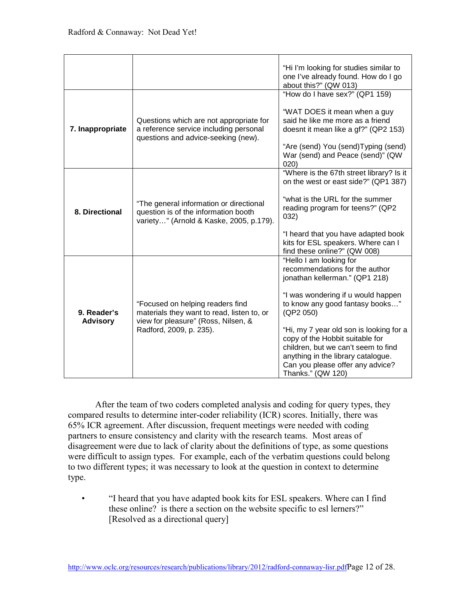|                                |                                                                                                                                                  | "Hi I'm looking for studies similar to<br>one I've already found. How do I go<br>about this?" (QW 013)                                                                                                                                                                                                                                                                                                |
|--------------------------------|--------------------------------------------------------------------------------------------------------------------------------------------------|-------------------------------------------------------------------------------------------------------------------------------------------------------------------------------------------------------------------------------------------------------------------------------------------------------------------------------------------------------------------------------------------------------|
| 7. Inappropriate               | Questions which are not appropriate for<br>a reference service including personal<br>questions and advice-seeking (new).                         | "How do I have sex?" (QP1 159)<br>"WAT DOES it mean when a guy<br>said he like me more as a friend<br>doesnt it mean like a gf?" (QP2 153)<br>"Are (send) You (send) Typing (send)<br>War (send) and Peace (send)" (QW<br>020)                                                                                                                                                                        |
| 8. Directional                 | "The general information or directional<br>question is of the information booth<br>variety" (Arnold & Kaske, 2005, p.179).                       | "Where is the 67th street library? Is it<br>on the west or east side?" (QP1 387)<br>"what is the URL for the summer"<br>reading program for teens?" (QP2<br>032)<br>"I heard that you have adapted book<br>kits for ESL speakers. Where can I<br>find these online?" (QW 008)                                                                                                                         |
| 9. Reader's<br><b>Advisory</b> | "Focused on helping readers find<br>materials they want to read, listen to, or<br>view for pleasure" (Ross, Nilsen, &<br>Radford, 2009, p. 235). | "Hello I am looking for<br>recommendations for the author<br>jonathan kellerman." (QP1 218)<br>"I was wondering if u would happen<br>to know any good fantasy books"<br>(QP2 050)<br>"Hi, my 7 year old son is looking for a<br>copy of the Hobbit suitable for<br>children, but we can't seem to find<br>anything in the library catalogue.<br>Can you please offer any advice?<br>Thanks." (QW 120) |

After the team of two coders completed analysis and coding for query types, they compared results to determine inter-coder reliability (ICR) scores. Initially, there was 65% ICR agreement. After discussion, frequent meetings were needed with coding partners to ensure consistency and clarity with the research teams. Most areas of disagreement were due to lack of clarity about the definitions of type, as some questions were difficult to assign types. For example, each of the verbatim questions could belong to two different types; it was necessary to look at the question in context to determine type.

• "I heard that you have adapted book kits for ESL speakers. Where can I find these online? is there a section on the website specific to esl lerners?" [Resolved as a directional query]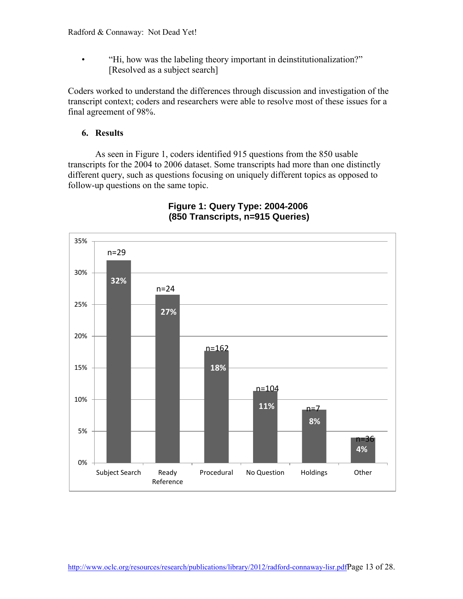• "Hi, how was the labeling theory important in deinstitutionalization?" [Resolved as a subject search]

Coders worked to understand the differences through discussion and investigation of the transcript context; coders and researchers were able to resolve most of these issues for a final agreement of 98%.

## **6. Results**

 As seen in Figure 1, coders identified 915 questions from the 850 usable transcripts for the 2004 to 2006 dataset. Some transcripts had more than one distinctly different query, such as questions focusing on uniquely different topics as opposed to follow-up questions on the same topic.



# **Figure 1: Query Type: 2004-2006 (850 Transcripts, n=915 Queries)**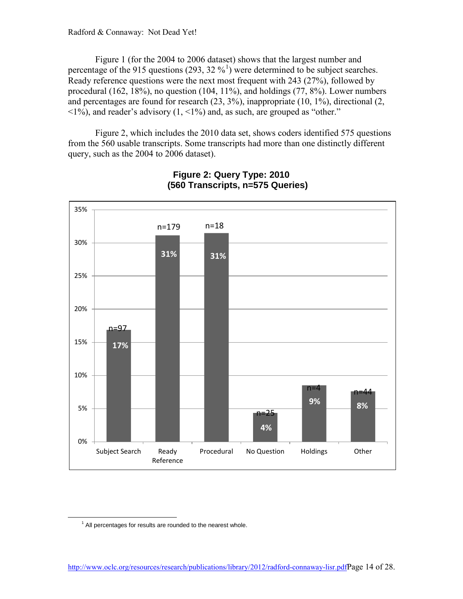Figure 1 (for the 2004 to 2006 dataset) shows that the largest number and percentage of the 9[1](#page-13-0)5 questions (293, 32  $\frac{1}{2}$ ) were determined to be subject searches. Ready reference questions were the next most frequent with 243 (27%), followed by procedural (162, 18%), no question (104, 11%), and holdings (77, 8%). Lower numbers and percentages are found for research (23, 3%), inappropriate (10, 1%), directional (2,  $\leq$ 1%), and reader's advisory (1,  $\leq$ 1%) and, as such, are grouped as "other."

Figure 2, which includes the 2010 data set, shows coders identified 575 questions from the 560 usable transcripts. Some transcripts had more than one distinctly different query, such as the 2004 to 2006 dataset).



## **Figure 2: Query Type: 2010 (560 Transcripts, n=575 Queries)**

<span id="page-13-0"></span> $<sup>1</sup>$  All percentages for results are rounded to the nearest whole.</sup>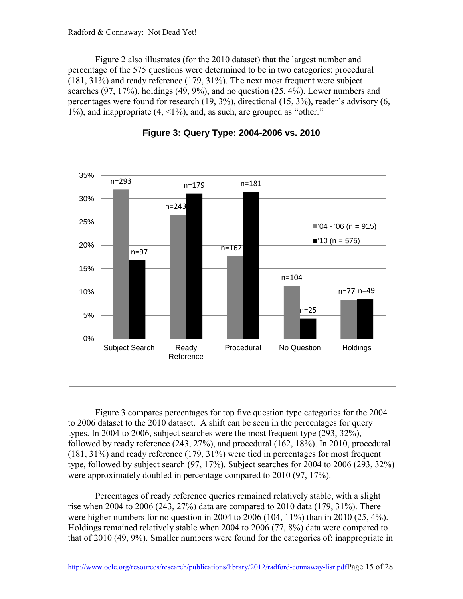Figure 2 also illustrates (for the 2010 dataset) that the largest number and percentage of the 575 questions were determined to be in two categories: procedural (181, 31%) and ready reference (179, 31%). The next most frequent were subject searches (97, 17%), holdings (49, 9%), and no question (25, 4%). Lower numbers and percentages were found for research (19, 3%), directional (15, 3%), reader's advisory (6, 1%), and inappropriate  $(4, \leq 1\%)$ , and, as such, are grouped as "other."



**Figure 3: Query Type: 2004-2006 vs. 2010**

 Figure 3 compares percentages for top five question type categories for the 2004 to 2006 dataset to the 2010 dataset. A shift can be seen in the percentages for query types. In 2004 to 2006, subject searches were the most frequent type (293, 32%), followed by ready reference (243, 27%), and procedural (162, 18%). In 2010, procedural (181, 31%) and ready reference (179, 31%) were tied in percentages for most frequent type, followed by subject search (97, 17%). Subject searches for 2004 to 2006 (293, 32%) were approximately doubled in percentage compared to 2010 (97, 17%).

Percentages of ready reference queries remained relatively stable, with a slight rise when 2004 to 2006 (243, 27%) data are compared to 2010 data (179, 31%). There were higher numbers for no question in 2004 to  $2006$  (104, 11%) than in 2010 (25, 4%). Holdings remained relatively stable when 2004 to 2006 (77, 8%) data were compared to that of 2010 (49, 9%). Smaller numbers were found for the categories of: inappropriate in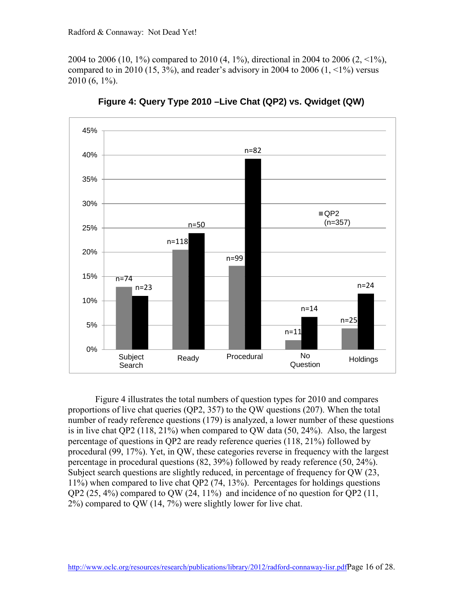2004 to 2006 (10, 1%) compared to 2010 (4, 1%), directional in 2004 to 2006 (2, <1%), compared to in 2010 (15, 3%), and reader's advisory in 2004 to 2006 (1,  $\leq$ 1%) versus 2010 (6, 1%).



**Figure 4: Query Type 2010 –Live Chat (QP2) vs. Qwidget (QW)**

 Figure 4 illustrates the total numbers of question types for 2010 and compares proportions of live chat queries (QP2, 357) to the QW questions (207). When the total number of ready reference questions (179) is analyzed, a lower number of these questions is in live chat QP2 (118, 21%) when compared to QW data (50, 24%). Also, the largest percentage of questions in QP2 are ready reference queries (118, 21%) followed by procedural (99, 17%). Yet, in QW, these categories reverse in frequency with the largest percentage in procedural questions (82, 39%) followed by ready reference (50, 24%). Subject search questions are slightly reduced, in percentage of frequency for QW (23, 11%) when compared to live chat QP2 (74, 13%). Percentages for holdings questions  $QP2$  (25, 4%) compared to QW (24, 11%) and incidence of no question for QP2 (11, 2%) compared to QW (14, 7%) were slightly lower for live chat.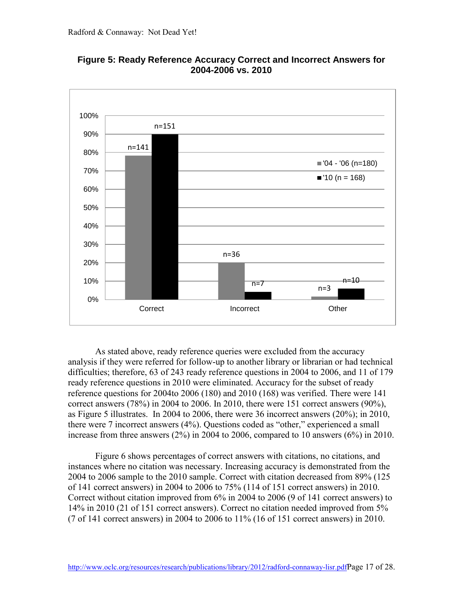



 As stated above, ready reference queries were excluded from the accuracy analysis if they were referred for follow-up to another library or librarian or had technical difficulties; therefore, 63 of 243 ready reference questions in 2004 to 2006, and 11 of 179 ready reference questions in 2010 were eliminated. Accuracy for the subset of ready reference questions for 2004to 2006 (180) and 2010 (168) was verified. There were 141 correct answers (78%) in 2004 to 2006. In 2010, there were 151 correct answers (90%), as Figure 5 illustrates. In 2004 to 2006, there were 36 incorrect answers (20%); in 2010, there were 7 incorrect answers (4%). Questions coded as "other," experienced a small increase from three answers (2%) in 2004 to 2006, compared to 10 answers (6%) in 2010.

 Figure 6 shows percentages of correct answers with citations, no citations, and instances where no citation was necessary. Increasing accuracy is demonstrated from the 2004 to 2006 sample to the 2010 sample. Correct with citation decreased from 89% (125 of 141 correct answers) in 2004 to 2006 to 75% (114 of 151 correct answers) in 2010. Correct without citation improved from 6% in 2004 to 2006 (9 of 141 correct answers) to 14% in 2010 (21 of 151 correct answers). Correct no citation needed improved from 5% (7 of 141 correct answers) in 2004 to 2006 to 11% (16 of 151 correct answers) in 2010.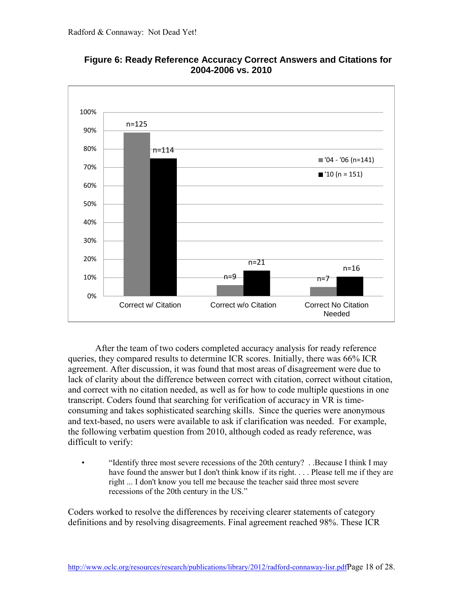

**Figure 6: Ready Reference Accuracy Correct Answers and Citations for 2004-2006 vs. 2010**

After the team of two coders completed accuracy analysis for ready reference queries, they compared results to determine ICR scores. Initially, there was 66% ICR agreement. After discussion, it was found that most areas of disagreement were due to lack of clarity about the difference between correct with citation, correct without citation, and correct with no citation needed, as well as for how to code multiple questions in one transcript. Coders found that searching for verification of accuracy in VR is timeconsuming and takes sophisticated searching skills. Since the queries were anonymous and text-based, no users were available to ask if clarification was needed. For example, the following verbatim question from 2010, although coded as ready reference, was difficult to verify:

• "Identify three most severe recessions of the 20th century? . .Because I think I may have found the answer but I don't think know if its right. . . . Please tell me if they are right ... I don't know you tell me because the teacher said three most severe recessions of the 20th century in the US."

Coders worked to resolve the differences by receiving clearer statements of category definitions and by resolving disagreements. Final agreement reached 98%. These ICR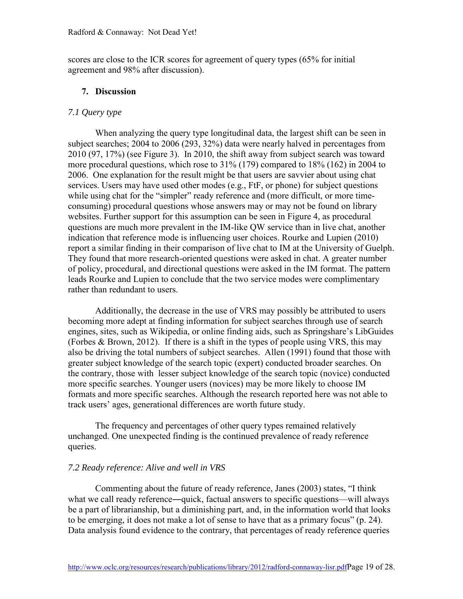scores are close to the ICR scores for agreement of query types (65% for initial agreement and 98% after discussion).

#### **7. Discussion**

#### *7.1 Query type*

 When analyzing the query type longitudinal data, the largest shift can be seen in subject searches; 2004 to 2006 (293, 32%) data were nearly halved in percentages from 2010 (97, 17%) (see Figure 3). In 2010, the shift away from subject search was toward more procedural questions, which rose to 31% (179) compared to 18% (162) in 2004 to 2006. One explanation for the result might be that users are savvier about using chat services. Users may have used other modes (e.g., FtF, or phone) for subject questions while using chat for the "simpler" ready reference and (more difficult, or more timeconsuming) procedural questions whose answers may or may not be found on library websites. Further support for this assumption can be seen in Figure 4, as procedural questions are much more prevalent in the IM-like QW service than in live chat, another indication that reference mode is influencing user choices. Rourke and Lupien (2010) report a similar finding in their comparison of live chat to IM at the University of Guelph. They found that more research-oriented questions were asked in chat. A greater number of policy, procedural, and directional questions were asked in the IM format. The pattern leads Rourke and Lupien to conclude that the two service modes were complimentary rather than redundant to users.

 Additionally, the decrease in the use of VRS may possibly be attributed to users becoming more adept at finding information for subject searches through use of search engines, sites, such as Wikipedia, or online finding aids, such as Springshare's LibGuides (Forbes & Brown, 2012). If there is a shift in the types of people using VRS, this may also be driving the total numbers of subject searches. Allen (1991) found that those with greater subject knowledge of the search topic (expert) conducted broader searches. On the contrary, those with lesser subject knowledge of the search topic (novice) conducted more specific searches. Younger users (novices) may be more likely to choose IM formats and more specific searches. Although the research reported here was not able to track users' ages, generational differences are worth future study.

The frequency and percentages of other query types remained relatively unchanged. One unexpected finding is the continued prevalence of ready reference queries.

#### *7.2 Ready reference: Alive and well in VRS*

Commenting about the future of ready reference, Janes (2003) states, "I think what we call ready reference—quick, factual answers to specific questions—will always be a part of librarianship, but a diminishing part, and, in the information world that looks to be emerging, it does not make a lot of sense to have that as a primary focus" (p. 24). Data analysis found evidence to the contrary, that percentages of ready reference queries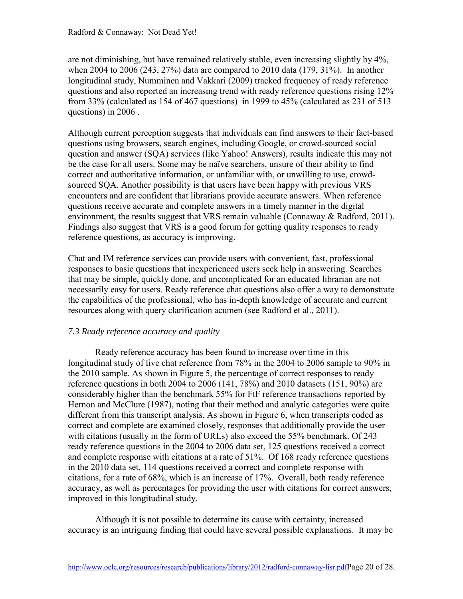are not diminishing, but have remained relatively stable, even increasing slightly by 4%, when 2004 to 2006 (243, 27%) data are compared to 2010 data (179, 31%). In another longitudinal study, Numminen and Vakkari (2009) tracked frequency of ready reference questions and also reported an increasing trend with ready reference questions rising 12% from 33% (calculated as 154 of 467 questions) in 1999 to 45% (calculated as 231 of 513 questions) in 2006 .

Although current perception suggests that individuals can find answers to their fact-based questions using browsers, search engines, including Google, or crowd-sourced social question and answer (SQA) services (like Yahoo! Answers), results indicate this may not be the case for all users. Some may be naïve searchers, unsure of their ability to find correct and authoritative information, or unfamiliar with, or unwilling to use, crowdsourced SQA. Another possibility is that users have been happy with previous VRS encounters and are confident that librarians provide accurate answers. When reference questions receive accurate and complete answers in a timely manner in the digital environment, the results suggest that VRS remain valuable (Connaway & Radford, 2011). Findings also suggest that VRS is a good forum for getting quality responses to ready reference questions, as accuracy is improving.

Chat and IM reference services can provide users with convenient, fast, professional responses to basic questions that inexperienced users seek help in answering. Searches that may be simple, quickly done, and uncomplicated for an educated librarian are not necessarily easy for users. Ready reference chat questions also offer a way to demonstrate the capabilities of the professional, who has in-depth knowledge of accurate and current resources along with query clarification acumen (see Radford et al., 2011).

#### *7.3 Ready reference accuracy and quality*

Ready reference accuracy has been found to increase over time in this longitudinal study of live chat reference from 78% in the 2004 to 2006 sample to 90% in the 2010 sample. As shown in Figure 5, the percentage of correct responses to ready reference questions in both 2004 to 2006 (141, 78%) and 2010 datasets (151, 90%) are considerably higher than the benchmark 55% for FtF reference transactions reported by Hernon and McClure (1987), noting that their method and analytic categories were quite different from this transcript analysis. As shown in Figure 6, when transcripts coded as correct and complete are examined closely, responses that additionally provide the user with citations (usually in the form of URLs) also exceed the 55% benchmark. Of 243 ready reference questions in the 2004 to 2006 data set, 125 questions received a correct and complete response with citations at a rate of 51%. Of 168 ready reference questions in the 2010 data set, 114 questions received a correct and complete response with citations, for a rate of 68%, which is an increase of 17%. Overall, both ready reference accuracy, as well as percentages for providing the user with citations for correct answers, improved in this longitudinal study.

 Although it is not possible to determine its cause with certainty, increased accuracy is an intriguing finding that could have several possible explanations. It may be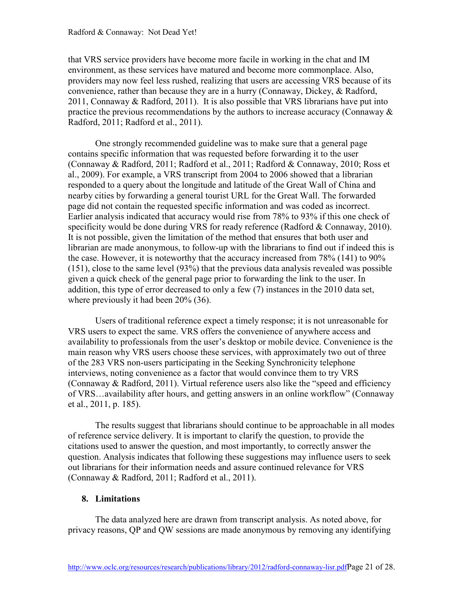that VRS service providers have become more facile in working in the chat and IM environment, as these services have matured and become more commonplace. Also, providers may now feel less rushed, realizing that users are accessing VRS because of its convenience, rather than because they are in a hurry (Connaway, Dickey, & Radford, 2011, Connaway & Radford, 2011). It is also possible that VRS librarians have put into practice the previous recommendations by the authors to increase accuracy (Connaway  $\&$ Radford, 2011; Radford et al., 2011).

One strongly recommended guideline was to make sure that a general page contains specific information that was requested before forwarding it to the user (Connaway & Radford, 2011; Radford et al., 2011; Radford & Connaway, 2010; Ross et al., 2009). For example, a VRS transcript from 2004 to 2006 showed that a librarian responded to a query about the longitude and latitude of the Great Wall of China and nearby cities by forwarding a general tourist URL for the Great Wall. The forwarded page did not contain the requested specific information and was coded as incorrect. Earlier analysis indicated that accuracy would rise from 78% to 93% if this one check of specificity would be done during VRS for ready reference (Radford & Connaway, 2010). It is not possible, given the limitation of the method that ensures that both user and librarian are made anonymous, to follow-up with the librarians to find out if indeed this is the case. However, it is noteworthy that the accuracy increased from 78% (141) to 90% (151), close to the same level (93%) that the previous data analysis revealed was possible given a quick check of the general page prior to forwarding the link to the user. In addition, this type of error decreased to only a few (7) instances in the 2010 data set, where previously it had been 20% (36).

Users of traditional reference expect a timely response; it is not unreasonable for VRS users to expect the same. VRS offers the convenience of anywhere access and availability to professionals from the user's desktop or mobile device. Convenience is the main reason why VRS users choose these services, with approximately two out of three of the 283 VRS non-users participating in the Seeking Synchronicity telephone interviews, noting convenience as a factor that would convince them to try VRS (Connaway & Radford, 2011). Virtual reference users also like the "speed and efficiency of VRS…availability after hours, and getting answers in an online workflow" (Connaway et al., 2011, p. 185).

 The results suggest that librarians should continue to be approachable in all modes of reference service delivery. It is important to clarify the question, to provide the citations used to answer the question, and most importantly, to correctly answer the question. Analysis indicates that following these suggestions may influence users to seek out librarians for their information needs and assure continued relevance for VRS (Connaway & Radford, 2011; Radford et al., 2011).

#### **8. Limitations**

 The data analyzed here are drawn from transcript analysis. As noted above, for privacy reasons, QP and QW sessions are made anonymous by removing any identifying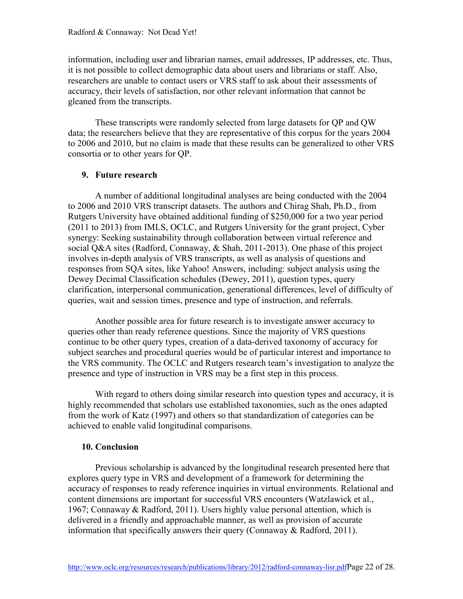information, including user and librarian names, email addresses, IP addresses, etc. Thus, it is not possible to collect demographic data about users and librarians or staff. Also, researchers are unable to contact users or VRS staff to ask about their assessments of accuracy, their levels of satisfaction, nor other relevant information that cannot be gleaned from the transcripts.

These transcripts were randomly selected from large datasets for QP and QW data; the researchers believe that they are representative of this corpus for the years 2004 to 2006 and 2010, but no claim is made that these results can be generalized to other VRS consortia or to other years for QP.

#### **9. Future research**

 A number of additional longitudinal analyses are being conducted with the 2004 to 2006 and 2010 VRS transcript datasets. The authors and Chirag Shah, Ph.D., from Rutgers University have obtained additional funding of \$250,000 for a two year period (2011 to 2013) from IMLS, OCLC, and Rutgers University for the grant project, Cyber synergy: Seeking sustainability through collaboration between virtual reference and social Q&A sites (Radford, Connaway, & Shah, 2011-2013). One phase of this project involves in-depth analysis of VRS transcripts, as well as analysis of questions and responses from SQA sites, like Yahoo! Answers, including: subject analysis using the Dewey Decimal Classification schedules (Dewey, 2011), question types, query clarification, interpersonal communication, generational differences, level of difficulty of queries, wait and session times, presence and type of instruction, and referrals.

 Another possible area for future research is to investigate answer accuracy to queries other than ready reference questions. Since the majority of VRS questions continue to be other query types, creation of a data-derived taxonomy of accuracy for subject searches and procedural queries would be of particular interest and importance to the VRS community. The OCLC and Rutgers research team's investigation to analyze the presence and type of instruction in VRS may be a first step in this process.

 With regard to others doing similar research into question types and accuracy, it is highly recommended that scholars use established taxonomies, such as the ones adapted from the work of Katz (1997) and others so that standardization of categories can be achieved to enable valid longitudinal comparisons.

## **10. Conclusion**

 Previous scholarship is advanced by the longitudinal research presented here that explores query type in VRS and development of a framework for determining the accuracy of responses to ready reference inquiries in virtual environments. Relational and content dimensions are important for successful VRS encounters (Watzlawick et al., 1967; Connaway & Radford, 2011). Users highly value personal attention, which is delivered in a friendly and approachable manner, as well as provision of accurate information that specifically answers their query (Connaway & Radford, 2011).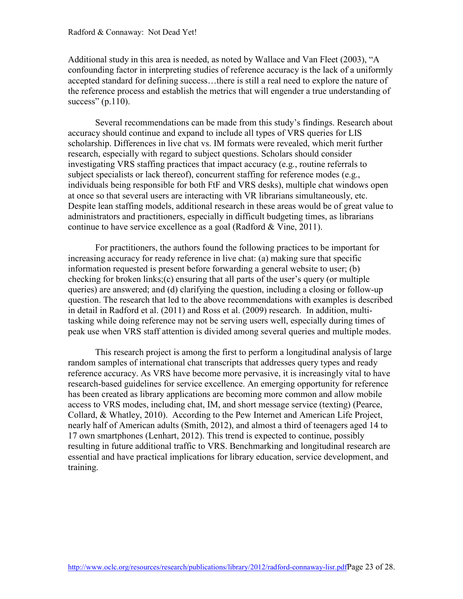Additional study in this area is needed, as noted by Wallace and Van Fleet (2003), "A confounding factor in interpreting studies of reference accuracy is the lack of a uniformly accepted standard for defining success…there is still a real need to explore the nature of the reference process and establish the metrics that will engender a true understanding of success"  $(p.110)$ .

 Several recommendations can be made from this study's findings. Research about accuracy should continue and expand to include all types of VRS queries for LIS scholarship. Differences in live chat vs. IM formats were revealed, which merit further research, especially with regard to subject questions. Scholars should consider investigating VRS staffing practices that impact accuracy (e.g., routine referrals to subject specialists or lack thereof), concurrent staffing for reference modes (e.g., individuals being responsible for both FtF and VRS desks), multiple chat windows open at once so that several users are interacting with VR librarians simultaneously, etc. Despite lean staffing models, additional research in these areas would be of great value to administrators and practitioners, especially in difficult budgeting times, as librarians continue to have service excellence as a goal (Radford & Vine, 2011).

 For practitioners, the authors found the following practices to be important for increasing accuracy for ready reference in live chat: (a) making sure that specific information requested is present before forwarding a general website to user; (b) checking for broken links;(c) ensuring that all parts of the user's query (or multiple queries) are answered; and (d) clarifying the question, including a closing or follow-up question. The research that led to the above recommendations with examples is described in detail in Radford et al. (2011) and Ross et al. (2009) research. In addition, multitasking while doing reference may not be serving users well, especially during times of peak use when VRS staff attention is divided among several queries and multiple modes.

This research project is among the first to perform a longitudinal analysis of large random samples of international chat transcripts that addresses query types and ready reference accuracy. As VRS have become more pervasive, it is increasingly vital to have research-based guidelines for service excellence. An emerging opportunity for reference has been created as library applications are becoming more common and allow mobile access to VRS modes, including chat, IM, and short message service (texting) (Pearce, Collard, & Whatley, 2010). According to the Pew Internet and American Life Project, nearly half of American adults (Smith, 2012), and almost a third of teenagers aged 14 to 17 own smartphones (Lenhart, 2012). This trend is expected to continue, possibly resulting in future additional traffic to VRS. Benchmarking and longitudinal research are essential and have practical implications for library education, service development, and training.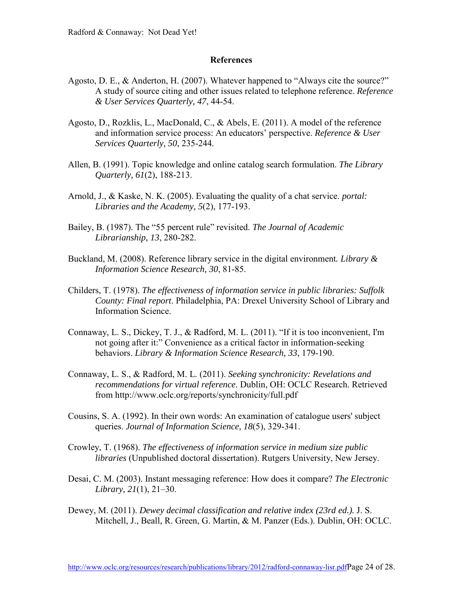#### **References**

- Agosto, D. E., & Anderton, H. (2007). Whatever happened to "Always cite the source?" A study of source citing and other issues related to telephone reference. *Reference & User Services Quarterly, 47*, 44-54.
- Agosto, D., Rozklis, L., MacDonald, C., & Abels, E. (2011). A model of the reference and information service process: An educators' perspective. *Reference & User Services Quarterly, 50*, 235-244.
- Allen, B. (1991). Topic knowledge and online catalog search formulation. *The Library Quarterly, 61*(2), 188-213.
- Arnold, J., & Kaske, N. K. (2005). Evaluating the quality of a chat service. *portal: Libraries and the Academy, 5*(2), 177-193.
- Bailey, B. (1987). The "55 percent rule" revisited. *The Journal of Academic Librarianship, 13*, 280-282.
- Buckland, M. (2008). Reference library service in the digital environment*. Library & Information Science Research, 30*, 81-85.
- Childers, T. (1978). *The effectiveness of information service in public libraries: Suffolk County: Final report*. Philadelphia, PA: Drexel University School of Library and Information Science.
- Connaway, L. S., Dickey, T. J., & Radford, M. L. (2011). "If it is too inconvenient, I'm not going after it:" Convenience as a critical factor in information-seeking behaviors. *Library & Information Science Research, 33*, 179-190.
- Connaway, L. S., & Radford, M. L. (2011). *Seeking synchronicity: Revelations and recommendations for virtual reference*. Dublin, OH: OCLC Research. Retrieved from http://www.oclc.org/reports/synchronicity/full.pdf
- Cousins, S. A. (1992). In their own words: An examination of catalogue users' subject queries. *Journal of Information Science, 18*(5), 329-341.
- Crowley, T. (1968). *The effectiveness of information service in medium size public libraries* (Unpublished doctoral dissertation). Rutgers University, New Jersey.
- Desai, C. M. (2003). Instant messaging reference: How does it compare? *The Electronic Library, 21*(1), 21–30.
- Dewey, M. (2011). *Dewey decimal classification and relative index (23rd ed.).* J. S. Mitchell, J., Beall, R. Green, G. Martin, & M. Panzer (Eds.). Dublin, OH: OCLC.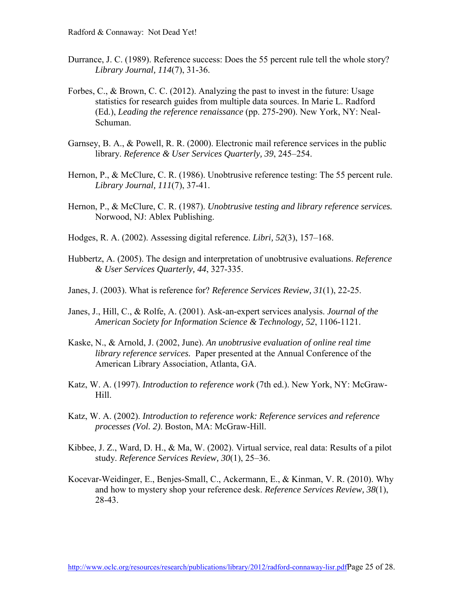- Durrance, J. C. (1989). Reference success: Does the 55 percent rule tell the whole story? *Library Journal, 114*(7), 31-36.
- Forbes, C., & Brown, C. C. (2012). Analyzing the past to invest in the future: Usage statistics for research guides from multiple data sources. In Marie L. Radford (Ed.), *Leading the reference renaissance* (pp. 275-290). New York, NY: Neal-Schuman.
- Garnsey, B. A., & Powell, R. R. (2000). Electronic mail reference services in the public library. *Reference & User Services Quarterly, 39*, 245–254.
- Hernon, P., & McClure, C. R. (1986). Unobtrusive reference testing: The 55 percent rule. *Library Journal, 111*(7), 37-41.
- Hernon, P., & McClure, C. R. (1987). *Unobtrusive testing and library reference services.* Norwood, NJ: Ablex Publishing.
- Hodges, R. A. (2002). Assessing digital reference. *Libri, 52*(3), 157–168.
- Hubbertz, A. (2005). The design and interpretation of unobtrusive evaluations. *Reference & User Services Quarterly, 44*, 327-335.
- Janes, J. (2003). What is reference for? *Reference Services Review, 31*(1), 22-25.
- Janes, J., Hill, C., & Rolfe, A. (2001). Ask-an-expert services analysis. *Journal of the American Society for Information Science & Technology, 52*, 1106-1121.
- Kaske, N., & Arnold, J. (2002, June). *An unobtrusive evaluation of online real time library reference services.* Paper presented at the Annual Conference of the American Library Association, Atlanta, GA.
- Katz, W. A. (1997). *Introduction to reference work* (7th ed.). New York, NY: McGraw-Hill.
- Katz, W. A. (2002). *Introduction to reference work: Reference services and reference processes (Vol. 2)*. Boston, MA: McGraw-Hill.
- Kibbee, J. Z., Ward, D. H., & Ma, W. (2002). Virtual service, real data: Results of a pilot study. *Reference Services Review, 30*(1), 25–36.
- Kocevar-Weidinger, E., Benjes-Small, C., Ackermann, E., & Kinman, V. R. (2010). Why and how to mystery shop your reference desk. *Reference Services Review, 38*(1), 28-43.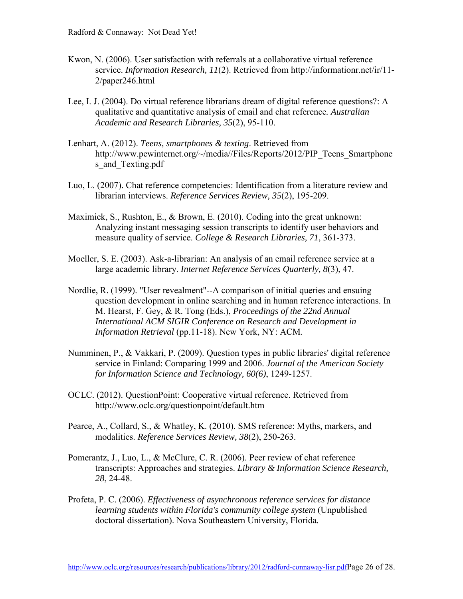- Kwon, N. (2006). User satisfaction with referrals at a collaborative virtual reference service. *Information Research, 11*(2). Retrieved from http://informationr.net/ir/11- 2/paper246.html
- Lee, I. J. (2004). Do virtual reference librarians dream of digital reference questions?: A qualitative and quantitative analysis of email and chat reference*. Australian Academic and Research Libraries, 35*(2), 95-110.
- Lenhart, A. (2012). *Teens, smartphones & texting*. Retrieved from http://www.pewinternet.org/~/media//Files/Reports/2012/PIP\_Teens\_Smartphone s and Texting.pdf
- Luo, L. (2007). Chat reference competencies: Identification from a literature review and librarian interviews. *Reference Services Review, 35*(2), 195-209.
- Maximiek, S., Rushton, E., & Brown, E. (2010). Coding into the great unknown: Analyzing instant messaging session transcripts to identify user behaviors and measure quality of service. *College & Research Libraries, 71*, 361-373.
- Moeller, S. E. (2003). Ask-a-librarian: An analysis of an email reference service at a large academic library. *Internet Reference Services Quarterly, 8*(3), 47.
- Nordlie, R. (1999). "User revealment"--A comparison of initial queries and ensuing question development in online searching and in human reference interactions. In M. Hearst, F. Gey, & R. Tong (Eds.), *Proceedings of the 22nd Annual International ACM SIGIR Conference on Research and Development in Information Retrieval* (pp.11-18). New York, NY: ACM.
- Numminen, P., & Vakkari, P. (2009). Question types in public libraries' digital reference service in Finland: Comparing 1999 and 2006. *Journal of the American Society for Information Science and Technology, 60(6)*, 1249-1257.
- OCLC. (2012). QuestionPoint: Cooperative virtual reference. Retrieved from http://www.oclc.org/questionpoint/default.htm
- Pearce, A., Collard, S., & Whatley, K. (2010). SMS reference: Myths, markers, and modalities. *Reference Services Review, 38*(2), 250-263.
- Pomerantz, J., Luo, L., & McClure, C. R. (2006). Peer review of chat reference transcripts: Approaches and strategies. *Library & Information Science Research, 28*, 24-48.
- Profeta, P. C. (2006). *Effectiveness of asynchronous reference services for distance learning students within Florida's community college system* (Unpublished doctoral dissertation). Nova Southeastern University, Florida.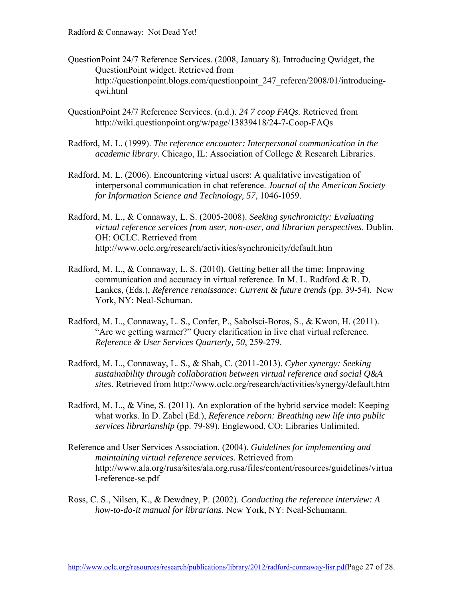- QuestionPoint 24/7 Reference Services. (2008, January 8). Introducing Qwidget, the QuestionPoint widget. Retrieved from http://questionpoint.blogs.com/questionpoint\_247\_referen/2008/01/introducingqwi.html
- QuestionPoint 24/7 Reference Services. (n.d.). *24 7 coop FAQs.* Retrieved from http://wiki.questionpoint.org/w/page/13839418/24-7-Coop-FAQs
- Radford, M. L. (1999). *The reference encounter: Interpersonal communication in the academic library.* Chicago, IL: Association of College & Research Libraries.
- Radford, M. L. (2006). Encountering virtual users: A qualitative investigation of interpersonal communication in chat reference. *Journal of the American Society for Information Science and Technology, 57*, 1046-1059.
- Radford, M. L., & Connaway, L. S. (2005-2008). *Seeking synchronicity: Evaluating virtual reference services from user, non-user, and librarian perspectives*. Dublin, OH: OCLC. Retrieved from http://www.oclc.org/research/activities/synchronicity/default.htm
- Radford, M. L., & Connaway, L. S. (2010). Getting better all the time: Improving communication and accuracy in virtual reference. In M. L. Radford & R. D. Lankes, (Eds.), *Reference renaissance: Current & future trends* (pp. 39-54). New York, NY: Neal-Schuman.
- Radford, M. L., Connaway, L. S., Confer, P., Sabolsci-Boros, S., & Kwon, H. (2011). "Are we getting warmer?" Query clarification in live chat virtual reference. *Reference & User Services Quarterly, 50*, 259-279.
- Radford, M. L., Connaway, L. S., & Shah, C. (2011-2013). *Cyber synergy: Seeking sustainability through collaboration between virtual reference and social Q&A sites*. Retrieved from http://www.oclc.org/research/activities/synergy/default.htm
- Radford, M. L., & Vine, S. (2011). An exploration of the hybrid service model: Keeping what works. In D. Zabel (Ed.), *Reference reborn: Breathing new life into public services librarianship* (pp. 79-89). Englewood, CO: Libraries Unlimited.
- Reference and User Services Association. (2004). *Guidelines for implementing and maintaining virtual reference services*. Retrieved from http://www.ala.org/rusa/sites/ala.org.rusa/files/content/resources/guidelines/virtua l-reference-se.pdf
- Ross, C. S., Nilsen, K., & Dewdney, P. (2002). *Conducting the reference interview: A how-to-do-it manual for librarians*. New York, NY: Neal-Schumann.